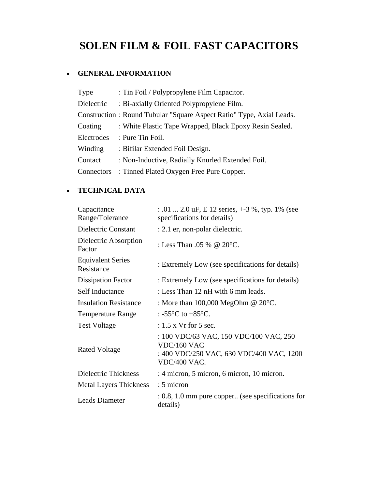# **SOLEN FILM & FOIL FAST CAPACITORS**

## • **GENERAL INFORMATION**

| Type       | : Tin Foil / Polypropylene Film Capacitor.                           |
|------------|----------------------------------------------------------------------|
| Dielectric | : Bi-axially Oriented Polypropylene Film.                            |
|            | Construction: Round Tubular "Square Aspect Ratio" Type, Axial Leads. |
| Coating    | : White Plastic Tape Wrapped, Black Epoxy Resin Sealed.              |
| Electrodes | : Pure Tin Foil.                                                     |
| Winding    | : Bifilar Extended Foil Design.                                      |
| Contact    | : Non-Inductive, Radially Knurled Extended Foil.                     |
| Connectors | : Tinned Plated Oxygen Free Pure Copper.                             |

## • **TECHNICAL DATA**

| Capacitance<br>Range/Tolerance         | $: .01 \dots 2.0$ uF, E 12 series, $+3\%$ , typ. 1% (see<br>specifications for details)                           |  |  |  |  |  |
|----------------------------------------|-------------------------------------------------------------------------------------------------------------------|--|--|--|--|--|
| Dielectric Constant                    | : 2.1 er, non-polar dielectric.                                                                                   |  |  |  |  |  |
| Dielectric Absorption<br>Factor        | : Less Than .05 % @ $20^{\circ}$ C.                                                                               |  |  |  |  |  |
| <b>Equivalent Series</b><br>Resistance | : Extremely Low (see specifications for details)                                                                  |  |  |  |  |  |
| <b>Dissipation Factor</b>              | : Extremely Low (see specifications for details)                                                                  |  |  |  |  |  |
| Self Inductance                        | : Less Than 12 nH with 6 mm leads.                                                                                |  |  |  |  |  |
| <b>Insulation Resistance</b>           | : More than $100,000$ MegOhm @ $20^{\circ}$ C.                                                                    |  |  |  |  |  |
| <b>Temperature Range</b>               | : -55 $^{\circ}$ C to +85 $^{\circ}$ C.                                                                           |  |  |  |  |  |
| <b>Test Voltage</b>                    | $: 1.5$ x Vr for 5 sec.                                                                                           |  |  |  |  |  |
| <b>Rated Voltage</b>                   | : 100 VDC/63 VAC, 150 VDC/100 VAC, 250<br>VDC/160 VAC<br>: 400 VDC/250 VAC, 630 VDC/400 VAC, 1200<br>VDC/400 VAC. |  |  |  |  |  |
| Dielectric Thickness                   | : 4 micron, 5 micron, 6 micron, 10 micron.                                                                        |  |  |  |  |  |
| <b>Metal Layers Thickness</b>          | : 5 micron                                                                                                        |  |  |  |  |  |
| <b>Leads Diameter</b>                  | $: 0.8, 1.0$ mm pure copper (see specifications for<br>details)                                                   |  |  |  |  |  |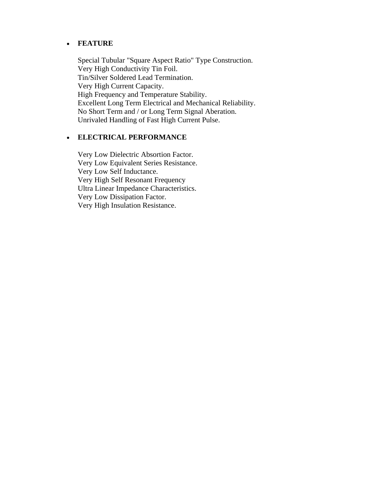#### • **FEATURE**

Special Tubular "Square Aspect Ratio" Type Construction. Very High Conductivity Tin Foil. Tin/Silver Soldered Lead Termination. Very High Current Capacity. High Frequency and Temperature Stability. Excellent Long Term Electrical and Mechanical Reliability. No Short Term and / or Long Term Signal Aberation. Unrivaled Handling of Fast High Current Pulse.

### • **ELECTRICAL PERFORMANCE**

Very Low Dielectric Absortion Factor. Very Low Equivalent Series Resistance. Very Low Self Inductance. Very High Self Resonant Frequency Ultra Linear Impedance Characteristics. Very Low Dissipation Factor. Very High Insulation Resistance.